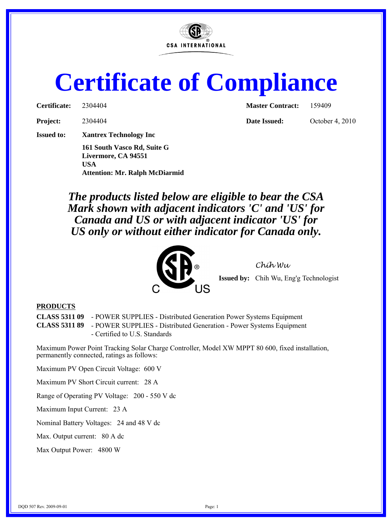

## **Certificate of Compliance**

| Certificate:      | 2304404                       | <b>Master Contract:</b> | 159409          |
|-------------------|-------------------------------|-------------------------|-----------------|
| <b>Project:</b>   | 2304404                       | Date Issued:            | October 4, 2010 |
| <b>Issued to:</b> | <b>Xantrex Technology Inc</b> |                         |                 |
|                   | 161 South Vasco Rd, Suite G   |                         |                 |

**Livermore, CA 94551 USA Attention: Mr. Ralph McDiarmid**

*The products listed below are eligible to bear the CSA Mark shown with adjacent indicators 'C' and 'US' for Canada and US or with adjacent indicator 'US' for US only or without either indicator for Canada only.*



*Chih Wu*

**Issued by:** Chih Wu, Eng'g Technologist

## **PRODUCTS**

**CLASS 5311 09** - POWER SUPPLIES - Distributed Generation Power Systems Equipment **CLASS 5311 89** - POWER SUPPLIES - Distributed Generation - Power Systems Equipment

- Certified to U.S. Standards

Maximum Power Point Tracking Solar Charge Controller, Model XW MPPT 80 600, fixed installation, permanently connected, ratings as follows:

Maximum PV Open Circuit Voltage: 600 V

Maximum PV Short Circuit current: 28 A

Range of Operating PV Voltage: 200 - 550 V dc

Maximum Input Current: 23 A

Nominal Battery Voltages: 24 and 48 V dc

Max. Output current: 80 A dc

Max Output Power: 4800 W